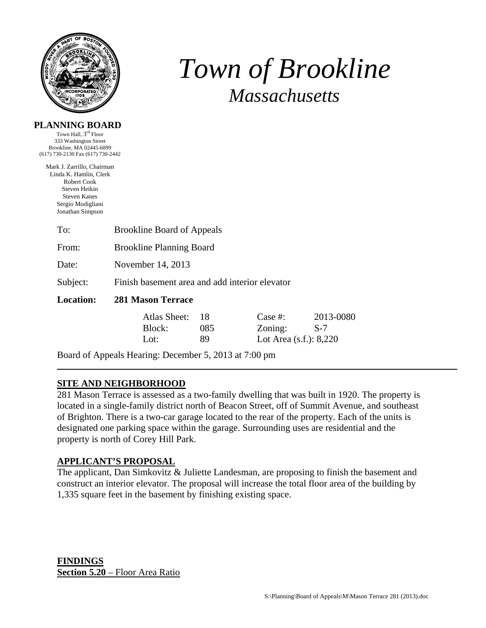

# *Town of Brookline Massachusetts*

#### **PLANNING BOARD**

Town Hall, 3rd Floor 333 Washington Street Brookline, MA 02445-6899 (617) 730-2130 Fax (617) 730-2442

Mark J. Zarrillo, Chairman Linda K. Hamlin, Clerk Robert Cook Steven Heikin Steven Kanes Sergio Modigliani Jonathan Simpson

| <b>Brookline Board of Appeals</b>              |     |         |                             |  |
|------------------------------------------------|-----|---------|-----------------------------|--|
| <b>Brookline Planning Board</b>                |     |         |                             |  |
| November 14, 2013                              |     |         |                             |  |
| Finish basement area and add interior elevator |     |         |                             |  |
| <b>281 Mason Terrace</b>                       |     |         |                             |  |
| Atlas Sheet:                                   | 18  | Case #: | 2013-0080                   |  |
| Block:                                         | 085 | Zoning: | $S-7$                       |  |
| Lot:                                           | 89  |         | Lot Area $(s.f.)$ : $8,220$ |  |
|                                                |     |         |                             |  |

Board of Appeals Hearing: December 5, 2013 at 7:00 pm

## **SITE AND NEIGHBORHOOD**

281 Mason Terrace is assessed as a two-family dwelling that was built in 1920. The property is located in a single-family district north of Beacon Street, off of Summit Avenue, and southeast of Brighton. There is a two-car garage located to the rear of the property. Each of the units is designated one parking space within the garage. Surrounding uses are residential and the property is north of Corey Hill Park.

## **APPLICANT'S PROPOSAL**

The applicant, Dan Simkovitz & Juliette Landesman, are proposing to finish the basement and construct an interior elevator. The proposal will increase the total floor area of the building by 1,335 square feet in the basement by finishing existing space.

**FINDINGS Section 5.20** – Floor Area Ratio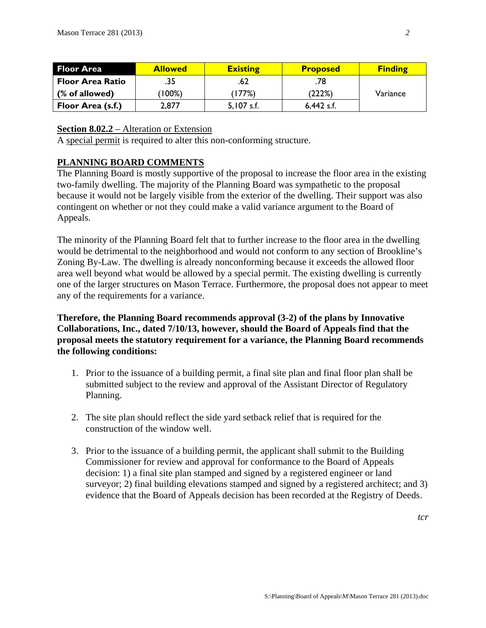| <b>Floor Area</b>       | <b>Allowed</b> | <b>Existing</b> | <b>Proposed</b> | <b>Finding</b> |
|-------------------------|----------------|-----------------|-----------------|----------------|
| <b>Floor Area Ratio</b> | .35            | .62             | .78             |                |
| (% of allowed)          | $100\%)$       | (177%)          | (222%)          | Variance       |
| Floor Area (s.f.)       | 2,877          | $5,107$ s.f.    | $6,442$ s.f.    |                |

#### **Section 8.02.2** – Alteration or Extension

A special permit is required to alter this non-conforming structure.

#### **PLANNING BOARD COMMENTS**

The Planning Board is mostly supportive of the proposal to increase the floor area in the existing two-family dwelling. The majority of the Planning Board was sympathetic to the proposal because it would not be largely visible from the exterior of the dwelling. Their support was also contingent on whether or not they could make a valid variance argument to the Board of Appeals.

The minority of the Planning Board felt that to further increase to the floor area in the dwelling would be detrimental to the neighborhood and would not conform to any section of Brookline's Zoning By-Law. The dwelling is already nonconforming because it exceeds the allowed floor area well beyond what would be allowed by a special permit. The existing dwelling is currently one of the larger structures on Mason Terrace. Furthermore, the proposal does not appear to meet any of the requirements for a variance.

## **Therefore, the Planning Board recommends approval (3-2) of the plans by Innovative Collaborations, Inc., dated 7/10/13, however, should the Board of Appeals find that the proposal meets the statutory requirement for a variance, the Planning Board recommends the following conditions:**

- 1. Prior to the issuance of a building permit, a final site plan and final floor plan shall be submitted subject to the review and approval of the Assistant Director of Regulatory Planning.
- 2. The site plan should reflect the side yard setback relief that is required for the construction of the window well.
- 3. Prior to the issuance of a building permit, the applicant shall submit to the Building Commissioner for review and approval for conformance to the Board of Appeals decision: 1) a final site plan stamped and signed by a registered engineer or land surveyor; 2) final building elevations stamped and signed by a registered architect; and 3) evidence that the Board of Appeals decision has been recorded at the Registry of Deeds.

*tcr*